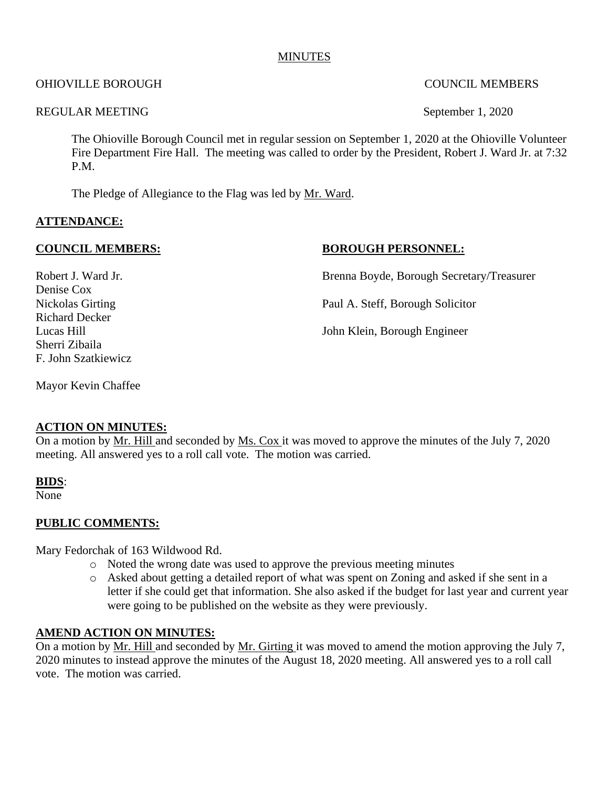#### **MINUTES**

#### OHIOVILLE BOROUGH COUNCIL MEMBERS

#### REGULAR MEETING September 1, 2020

The Ohioville Borough Council met in regular session on September 1, 2020 at the Ohioville Volunteer Fire Department Fire Hall. The meeting was called to order by the President, Robert J. Ward Jr. at 7:32 P.M.

The Pledge of Allegiance to the Flag was led by Mr. Ward.

#### **ATTENDANCE:**

**COUNCIL MEMBERS:** BOROUGH PERSONNEL:

Robert J. Ward Jr. **Brenna Boyde, Borough Secretary/Treasurer** 

Nickolas Girting Paul A. Steff, Borough Solicitor

Lucas Hill John Klein, Borough Engineer

Mayor Kevin Chaffee

#### **ACTION ON MINUTES:**

On a motion by Mr. Hill and seconded by Ms. Cox it was moved to approve the minutes of the July 7, 2020 meeting. All answered yes to a roll call vote. The motion was carried.

#### **BIDS**:

None

#### **PUBLIC COMMENTS:**

Mary Fedorchak of 163 Wildwood Rd.

- o Noted the wrong date was used to approve the previous meeting minutes
- o Asked about getting a detailed report of what was spent on Zoning and asked if she sent in a letter if she could get that information. She also asked if the budget for last year and current year were going to be published on the website as they were previously.

#### **AMEND ACTION ON MINUTES:**

On a motion by Mr. Hill and seconded by Mr. Girting it was moved to amend the motion approving the July 7, 2020 minutes to instead approve the minutes of the August 18, 2020 meeting. All answered yes to a roll call vote. The motion was carried.

# Denise Cox Richard Decker Sherri Zibaila F. John Szatkiewicz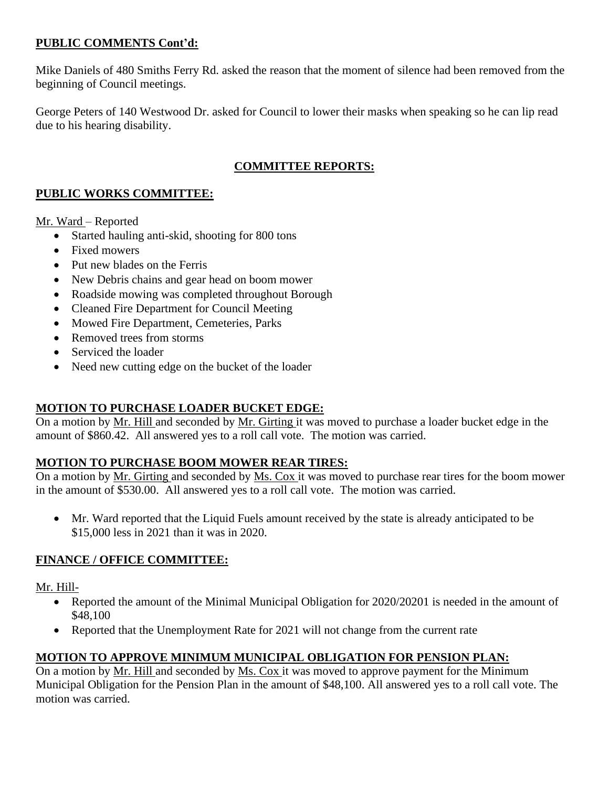#### **PUBLIC COMMENTS Cont'd:**

Mike Daniels of 480 Smiths Ferry Rd. asked the reason that the moment of silence had been removed from the beginning of Council meetings.

George Peters of 140 Westwood Dr. asked for Council to lower their masks when speaking so he can lip read due to his hearing disability.

# **COMMITTEE REPORTS:**

#### **PUBLIC WORKS COMMITTEE:**

Mr. Ward – Reported

- Started hauling anti-skid, shooting for 800 tons
- Fixed mowers
- Put new blades on the Ferris
- New Debris chains and gear head on boom mower
- Roadside mowing was completed throughout Borough
- Cleaned Fire Department for Council Meeting
- Mowed Fire Department, Cemeteries, Parks
- Removed trees from storms
- Serviced the loader
- Need new cutting edge on the bucket of the loader

# **MOTION TO PURCHASE LOADER BUCKET EDGE:**

On a motion by Mr. Hill and seconded by Mr. Girting it was moved to purchase a loader bucket edge in the amount of \$860.42. All answered yes to a roll call vote. The motion was carried.

# **MOTION TO PURCHASE BOOM MOWER REAR TIRES:**

On a motion by Mr. Girting and seconded by Ms. Cox it was moved to purchase rear tires for the boom mower in the amount of \$530.00. All answered yes to a roll call vote. The motion was carried.

• Mr. Ward reported that the Liquid Fuels amount received by the state is already anticipated to be \$15,000 less in 2021 than it was in 2020.

# **FINANCE / OFFICE COMMITTEE:**

Mr. Hill-

- Reported the amount of the Minimal Municipal Obligation for 2020/20201 is needed in the amount of \$48,100
- Reported that the Unemployment Rate for 2021 will not change from the current rate

# **MOTION TO APPROVE MINIMUM MUNICIPAL OBLIGATION FOR PENSION PLAN:**

On a motion by Mr. Hill and seconded by Ms. Cox it was moved to approve payment for the Minimum Municipal Obligation for the Pension Plan in the amount of \$48,100. All answered yes to a roll call vote. The motion was carried.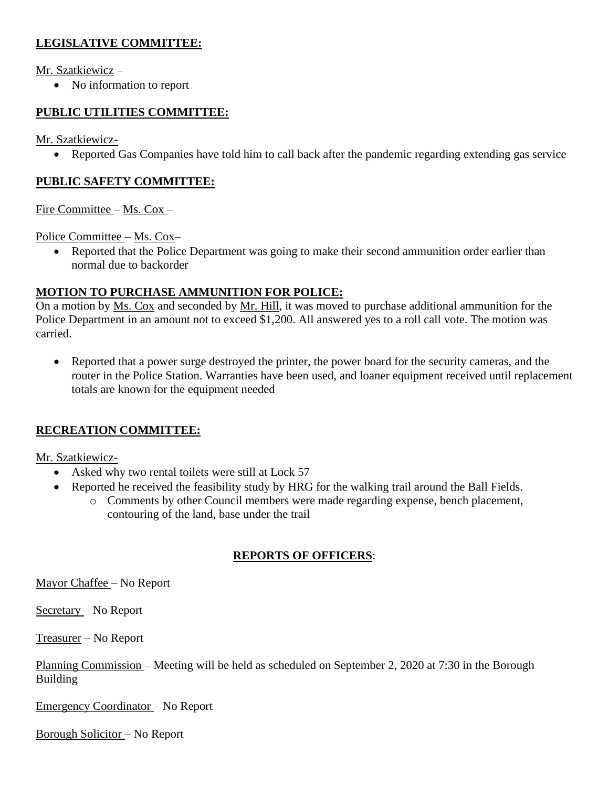# **LEGISLATIVE COMMITTEE:**

Mr. Szatkiewicz –

• No information to report

# **PUBLIC UTILITIES COMMITTEE:**

Mr. Szatkiewicz-

• Reported Gas Companies have told him to call back after the pandemic regarding extending gas service

#### **PUBLIC SAFETY COMMITTEE:**

Fire Committee – Ms. Cox –

Police Committee – Ms. Cox–

• Reported that the Police Department was going to make their second ammunition order earlier than normal due to backorder

#### **MOTION TO PURCHASE AMMUNITION FOR POLICE:**

On a motion by Ms. Cox and seconded by Mr. Hill, it was moved to purchase additional ammunition for the Police Department in an amount not to exceed \$1,200. All answered yes to a roll call vote. The motion was carried.

• Reported that a power surge destroyed the printer, the power board for the security cameras, and the router in the Police Station. Warranties have been used, and loaner equipment received until replacement totals are known for the equipment needed

# **RECREATION COMMITTEE:**

Mr. Szatkiewicz-

- Asked why two rental toilets were still at Lock 57
- Reported he received the feasibility study by HRG for the walking trail around the Ball Fields.
	- o Comments by other Council members were made regarding expense, bench placement, contouring of the land, base under the trail

# **REPORTS OF OFFICERS**:

Mayor Chaffee – No Report

Secretary – No Report

Treasurer – No Report

Planning Commission – Meeting will be held as scheduled on September 2, 2020 at 7:30 in the Borough Building

Emergency Coordinator – No Report

Borough Solicitor – No Report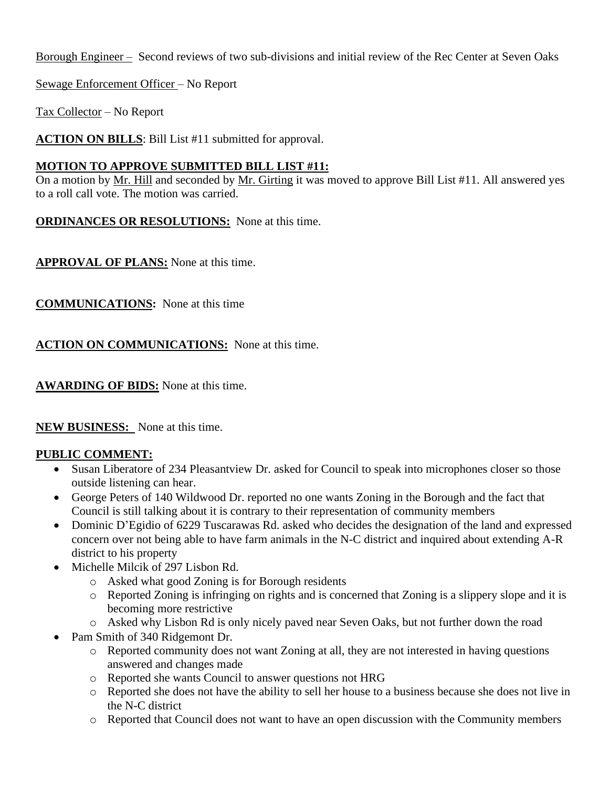Borough Engineer – Second reviews of two sub-divisions and initial review of the Rec Center at Seven Oaks

Sewage Enforcement Officer – No Report

Tax Collector – No Report

**ACTION ON BILLS**: Bill List #11 submitted for approval.

#### **MOTION TO APPROVE SUBMITTED BILL LIST #11:**

On a motion by Mr. Hill and seconded by Mr. Girting it was moved to approve Bill List #11. All answered yes to a roll call vote. The motion was carried.

**ORDINANCES OR RESOLUTIONS:** None at this time.

**APPROVAL OF PLANS:** None at this time.

**COMMUNICATIONS:** None at this time

**ACTION ON COMMUNICATIONS:** None at this time.

**AWARDING OF BIDS:** None at this time.

**NEW BUSINESS:** None at this time.

# **PUBLIC COMMENT:**

- Susan Liberatore of 234 Pleasantview Dr. asked for Council to speak into microphones closer so those outside listening can hear.
- George Peters of 140 Wildwood Dr. reported no one wants Zoning in the Borough and the fact that Council is still talking about it is contrary to their representation of community members
- Dominic D'Egidio of 6229 Tuscarawas Rd. asked who decides the designation of the land and expressed concern over not being able to have farm animals in the N-C district and inquired about extending A-R district to his property
- Michelle Milcik of 297 Lisbon Rd.
	- o Asked what good Zoning is for Borough residents
	- o Reported Zoning is infringing on rights and is concerned that Zoning is a slippery slope and it is becoming more restrictive
	- o Asked why Lisbon Rd is only nicely paved near Seven Oaks, but not further down the road
- Pam Smith of 340 Ridgemont Dr.
	- o Reported community does not want Zoning at all, they are not interested in having questions answered and changes made
	- o Reported she wants Council to answer questions not HRG
	- o Reported she does not have the ability to sell her house to a business because she does not live in the N-C district
	- o Reported that Council does not want to have an open discussion with the Community members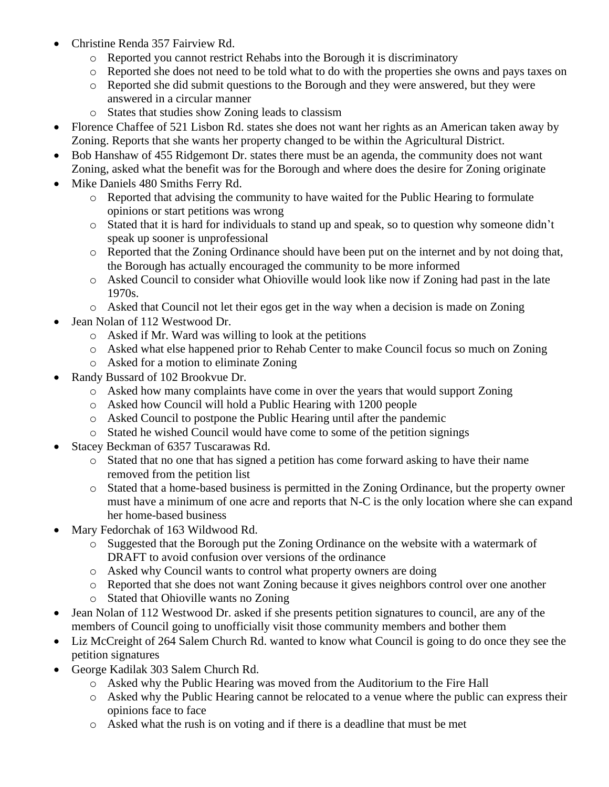- Christine Renda 357 Fairview Rd.
	- o Reported you cannot restrict Rehabs into the Borough it is discriminatory
	- o Reported she does not need to be told what to do with the properties she owns and pays taxes on
	- o Reported she did submit questions to the Borough and they were answered, but they were answered in a circular manner
	- o States that studies show Zoning leads to classism
- Florence Chaffee of 521 Lisbon Rd. states she does not want her rights as an American taken away by Zoning. Reports that she wants her property changed to be within the Agricultural District.
- Bob Hanshaw of 455 Ridgemont Dr. states there must be an agenda, the community does not want Zoning, asked what the benefit was for the Borough and where does the desire for Zoning originate
- Mike Daniels 480 Smiths Ferry Rd.
	- o Reported that advising the community to have waited for the Public Hearing to formulate opinions or start petitions was wrong
	- o Stated that it is hard for individuals to stand up and speak, so to question why someone didn't speak up sooner is unprofessional
	- o Reported that the Zoning Ordinance should have been put on the internet and by not doing that, the Borough has actually encouraged the community to be more informed
	- $\circ$  Asked Council to consider what Ohioville would look like now if Zoning had past in the late 1970s.
	- o Asked that Council not let their egos get in the way when a decision is made on Zoning
- Jean Nolan of 112 Westwood Dr.
	- o Asked if Mr. Ward was willing to look at the petitions
	- o Asked what else happened prior to Rehab Center to make Council focus so much on Zoning
	- o Asked for a motion to eliminate Zoning
- Randy Bussard of 102 Brookvue Dr.
	- o Asked how many complaints have come in over the years that would support Zoning
	- o Asked how Council will hold a Public Hearing with 1200 people
	- o Asked Council to postpone the Public Hearing until after the pandemic
	- o Stated he wished Council would have come to some of the petition signings
- Stacey Beckman of 6357 Tuscarawas Rd.
	- o Stated that no one that has signed a petition has come forward asking to have their name removed from the petition list
	- o Stated that a home-based business is permitted in the Zoning Ordinance, but the property owner must have a minimum of one acre and reports that N-C is the only location where she can expand her home-based business
- Mary Fedorchak of 163 Wildwood Rd.
	- o Suggested that the Borough put the Zoning Ordinance on the website with a watermark of DRAFT to avoid confusion over versions of the ordinance
	- o Asked why Council wants to control what property owners are doing
	- o Reported that she does not want Zoning because it gives neighbors control over one another
	- o Stated that Ohioville wants no Zoning
- Jean Nolan of 112 Westwood Dr. asked if she presents petition signatures to council, are any of the members of Council going to unofficially visit those community members and bother them
- Liz McCreight of 264 Salem Church Rd. wanted to know what Council is going to do once they see the petition signatures
- George Kadilak 303 Salem Church Rd.
	- o Asked why the Public Hearing was moved from the Auditorium to the Fire Hall
	- o Asked why the Public Hearing cannot be relocated to a venue where the public can express their opinions face to face
	- o Asked what the rush is on voting and if there is a deadline that must be met